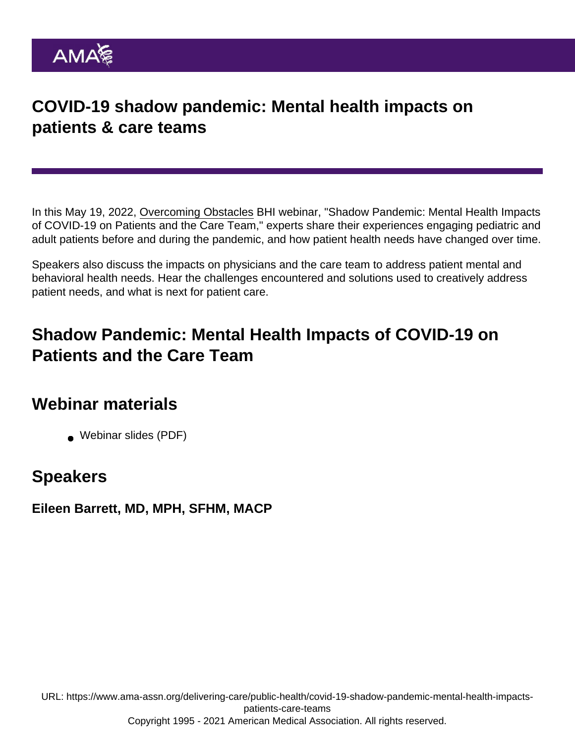## COVID-19 shadow pandemic: Mental health impacts on patients & care teams

In this May 19, 2022, [Overcoming Obstacles](https://www.ama-assn.org/delivering-care/public-health/behavioral-health-integration-bhi-overcoming-obstacles-webinar-series) BHI webinar, "Shadow Pandemic: Mental Health Impacts of COVID-19 on Patients and the Care Team," experts share their experiences engaging pediatric and adult patients before and during the pandemic, and how patient health needs have changed over time.

Speakers also discuss the impacts on physicians and the care team to address patient mental and behavioral health needs. Hear the challenges encountered and solutions used to creatively address patient needs, and what is next for patient care.

## Shadow Pandemic: Mental Health Impacts of COVID-19 on Patients and the Care Team

## Webinar materials

[Webinar slides](https://www.ama-assn.org/system/files/bhi-shadow-pandemic-webinar-slides.pdf) (PDF)

## **Speakers**

Eileen Barrett, MD, MPH, SFHM, MACP

URL: [https://www.ama-assn.org/delivering-care/public-health/covid-19-shadow-pandemic-mental-health-impacts](https://www.ama-assn.org/delivering-care/public-health/covid-19-shadow-pandemic-mental-health-impacts-patients-care-teams)[patients-care-teams](https://www.ama-assn.org/delivering-care/public-health/covid-19-shadow-pandemic-mental-health-impacts-patients-care-teams) Copyright 1995 - 2021 American Medical Association. All rights reserved.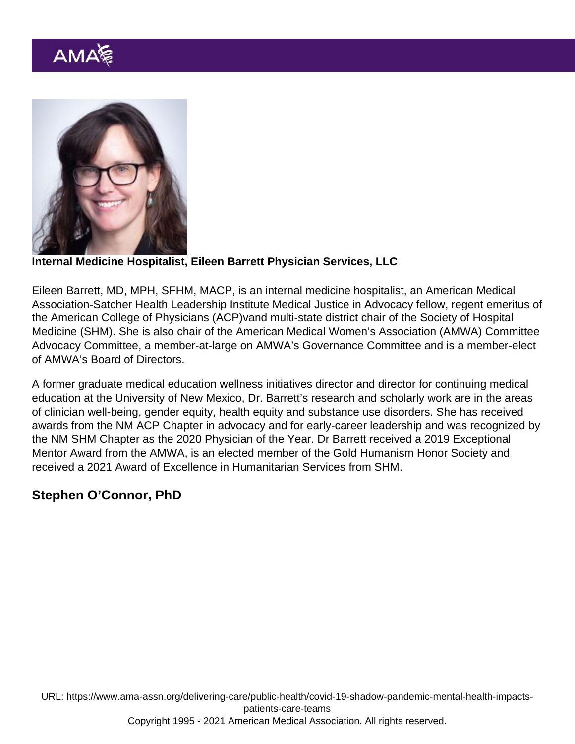Internal Medicine Hospitalist, Eileen Barrett Physician Services, LLC

Eileen Barrett, MD, MPH, SFHM, MACP, is an internal medicine hospitalist, an American Medical Association-Satcher Health Leadership Institute Medical Justice in Advocacy fellow, regent emeritus of the American College of Physicians (ACP)vand multi-state district chair of the Society of Hospital Medicine (SHM). She is also chair of the American Medical Women's Association (AMWA) Committee Advocacy Committee, a member-at-large on AMWA's Governance Committee and is a member-elect of AMWA's Board of Directors.

A former graduate medical education wellness initiatives director and director for continuing medical education at the University of New Mexico, Dr. Barrett's research and scholarly work are in the areas of clinician well-being, gender equity, health equity and substance use disorders. She has received awards from the NM ACP Chapter in advocacy and for early-career leadership and was recognized by the NM SHM Chapter as the 2020 Physician of the Year. Dr Barrett received a 2019 Exceptional Mentor Award from the AMWA, is an elected member of the Gold Humanism Honor Society and received a 2021 Award of Excellence in Humanitarian Services from SHM.

Stephen O'Connor, PhD

URL: [https://www.ama-assn.org/delivering-care/public-health/covid-19-shadow-pandemic-mental-health-impacts](https://www.ama-assn.org/delivering-care/public-health/covid-19-shadow-pandemic-mental-health-impacts-patients-care-teams)[patients-care-teams](https://www.ama-assn.org/delivering-care/public-health/covid-19-shadow-pandemic-mental-health-impacts-patients-care-teams)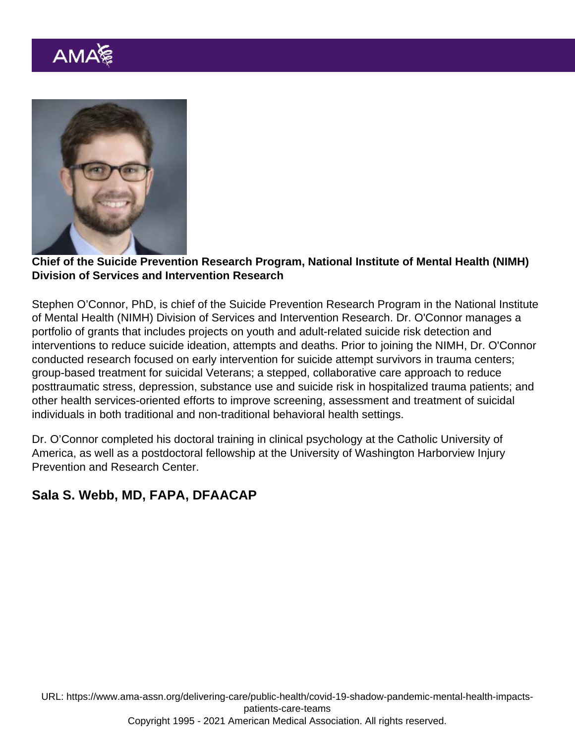Chief of the Suicide Prevention Research Program, National Institute of Mental Health (NIMH) Division of Services and Intervention Research

Stephen O'Connor, PhD, is chief of the Suicide Prevention Research Program in the National Institute of Mental Health (NIMH) [Division of Services and Intervention Research](https://www.nimh.nih.gov/about/organization/dsir). Dr. O'Connor manages a portfolio of grants that includes projects on youth and adult-related suicide risk detection and interventions to reduce suicide ideation, attempts and deaths. Prior to joining the NIMH, Dr. O'Connor conducted research focused on early intervention for suicide attempt survivors in trauma centers; group-based treatment for suicidal Veterans; a stepped, collaborative care approach to reduce posttraumatic stress, depression, substance use and suicide risk in hospitalized trauma patients; and other health services-oriented efforts to improve screening, assessment and treatment of suicidal individuals in both traditional and non-traditional behavioral health settings.

Dr. O'Connor completed his doctoral training in clinical psychology at the Catholic University of America, as well as a postdoctoral fellowship at the University of Washington Harborview Injury Prevention and Research Center.

Sala S. Webb, MD, FAPA, DFAACAP

URL: [https://www.ama-assn.org/delivering-care/public-health/covid-19-shadow-pandemic-mental-health-impacts](https://www.ama-assn.org/delivering-care/public-health/covid-19-shadow-pandemic-mental-health-impacts-patients-care-teams)[patients-care-teams](https://www.ama-assn.org/delivering-care/public-health/covid-19-shadow-pandemic-mental-health-impacts-patients-care-teams)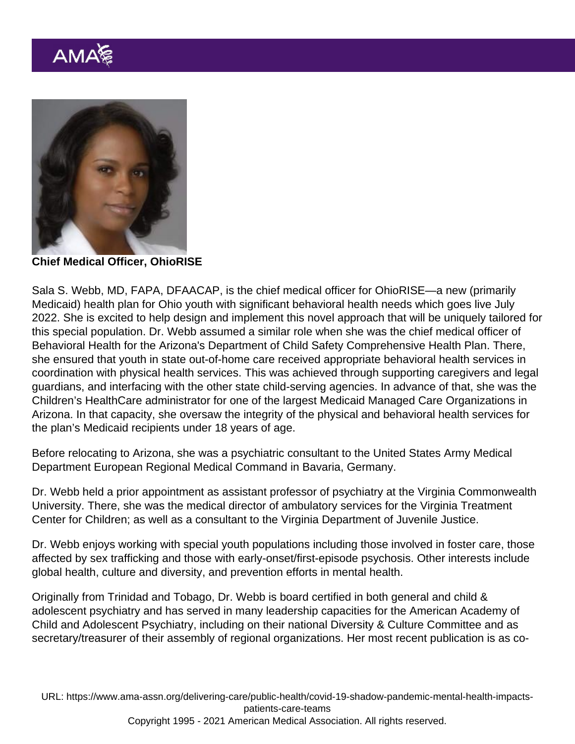Chief Medical Officer, OhioRISE

Sala S. Webb, MD, FAPA, DFAACAP, is the chief medical officer for OhioRISE—a new (primarily Medicaid) health plan for Ohio youth with significant behavioral health needs which goes live July 2022. She is excited to help design and implement this novel approach that will be uniquely tailored for this special population. Dr. Webb assumed a similar role when she was the chief medical officer of Behavioral Health for the Arizona's Department of Child Safety Comprehensive Health Plan. There, she ensured that youth in state out-of-home care received appropriate behavioral health services in coordination with physical health services. This was achieved through supporting caregivers and legal guardians, and interfacing with the other state child-serving agencies. In advance of that, she was the Children's HealthCare administrator for one of the largest Medicaid Managed Care Organizations in Arizona. In that capacity, she oversaw the integrity of the physical and behavioral health services for the plan's Medicaid recipients under 18 years of age.

Before relocating to Arizona, she was a psychiatric consultant to the United States Army Medical Department European Regional Medical Command in Bavaria, Germany.

Dr. Webb held a prior appointment as assistant professor of psychiatry at the Virginia Commonwealth University. There, she was the medical director of ambulatory services for the Virginia Treatment Center for Children; as well as a consultant to the Virginia Department of Juvenile Justice.

Dr. Webb enjoys working with special youth populations including those involved in foster care, those affected by sex trafficking and those with early-onset/first-episode psychosis. Other interests include global health, culture and diversity, and prevention efforts in mental health.

Originally from Trinidad and Tobago, Dr. Webb is board certified in both general and child & adolescent psychiatry and has served in many leadership capacities for the American Academy of Child and Adolescent Psychiatry, including on their national Diversity & Culture Committee and as secretary/treasurer of their assembly of regional organizations. Her most recent publication is as co-

URL: [https://www.ama-assn.org/delivering-care/public-health/covid-19-shadow-pandemic-mental-health-impacts](https://www.ama-assn.org/delivering-care/public-health/covid-19-shadow-pandemic-mental-health-impacts-patients-care-teams)[patients-care-teams](https://www.ama-assn.org/delivering-care/public-health/covid-19-shadow-pandemic-mental-health-impacts-patients-care-teams) Copyright 1995 - 2021 American Medical Association. All rights reserved.